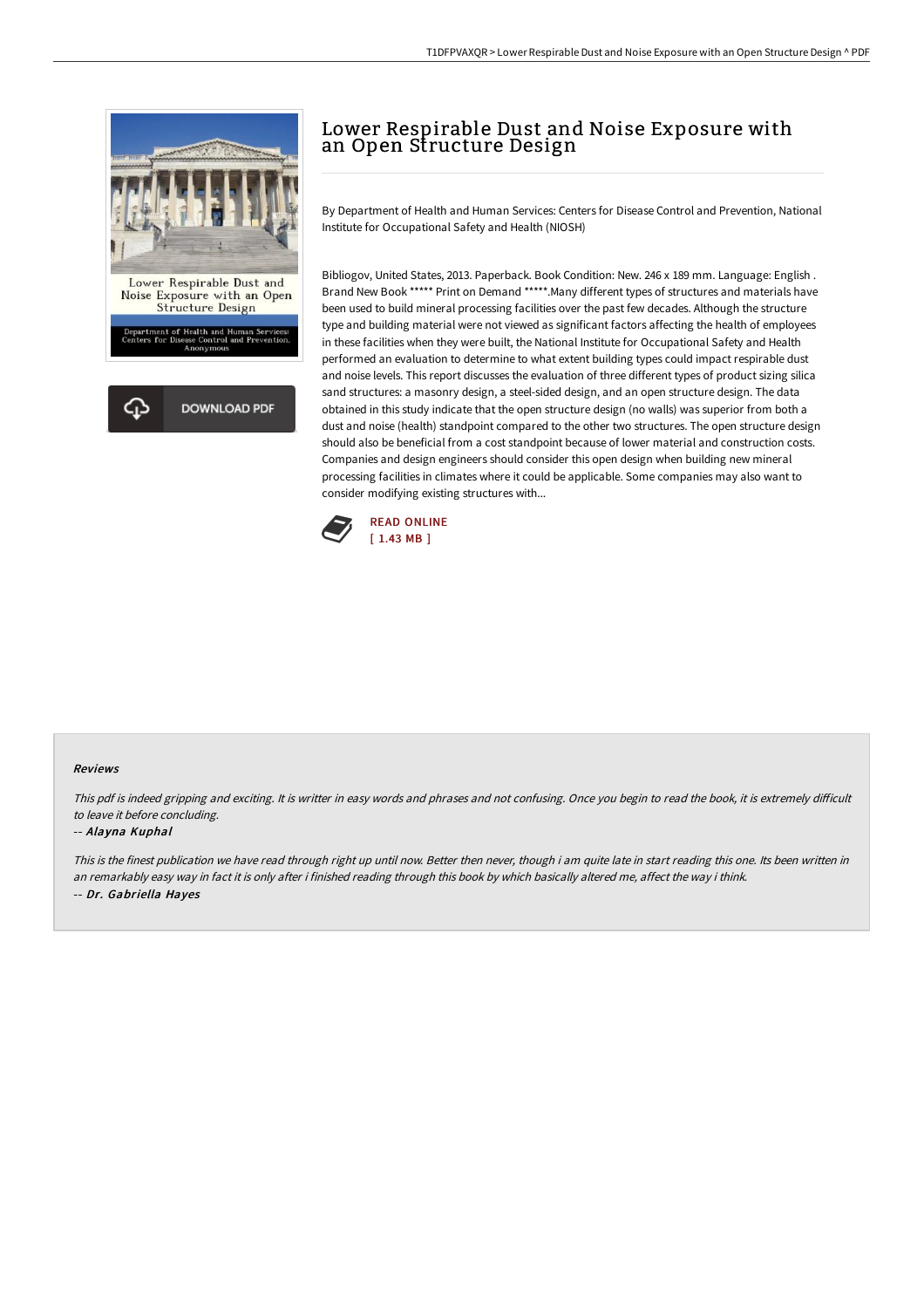

# Lower Respirable Dust and Noise Exposure with an Open Structure Design

By Department of Health and Human Services: Centers for Disease Control and Prevention, National Institute for Occupational Safety and Health (NIOSH)

Bibliogov, United States, 2013. Paperback. Book Condition: New. 246 x 189 mm. Language: English . Brand New Book \*\*\*\*\* Print on Demand \*\*\*\*\*.Many different types of structures and materials have been used to build mineral processing facilities over the past few decades. Although the structure type and building material were not viewed as significant factors affecting the health of employees in these facilities when they were built, the National Institute for Occupational Safety and Health performed an evaluation to determine to what extent building types could impact respirable dust and noise levels. This report discusses the evaluation of three different types of product sizing silica sand structures: a masonry design, a steel-sided design, and an open structure design. The data obtained in this study indicate that the open structure design (no walls) was superior from both a dust and noise (health) standpoint compared to the other two structures. The open structure design should also be beneficial from a cost standpoint because of lower material and construction costs. Companies and design engineers should consider this open design when building new mineral processing facilities in climates where it could be applicable. Some companies may also want to consider modifying existing structures with...



### Reviews

This pdf is indeed gripping and exciting. It is writter in easy words and phrases and not confusing. Once you begin to read the book, it is extremely difficult to leave it before concluding.

#### -- Alayna Kuphal

This is the finest publication we have read through right up until now. Better then never, though i am quite late in start reading this one. Its been written in an remarkably easy way in fact it is only after i finished reading through this book by which basically altered me, affect the way i think. -- Dr. Gabriella Hayes